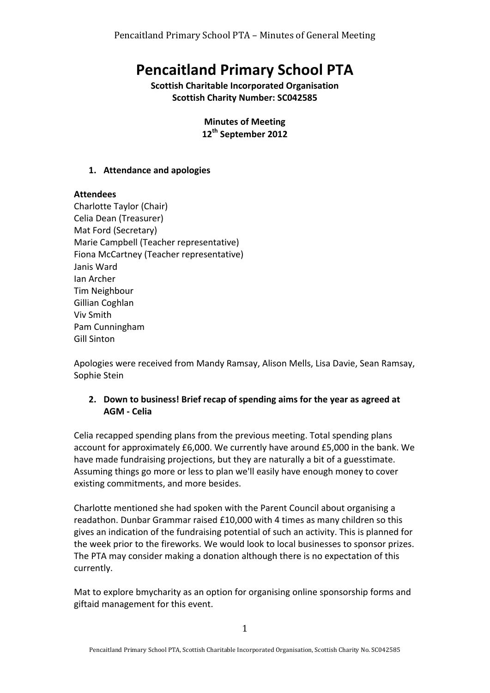# **Pencaitland Primary School PTA**

**Scottish Charitable Incorporated Organisation Scottish Charity Number: SC042585** 

> **Minutes of Meeting 12th September 2012**

#### **1. Attendance and apologies**

#### **Attendees**

Charlotte Taylor (Chair) Celia Dean (Treasurer) Mat Ford (Secretary) Marie Campbell (Teacher representative) Fiona McCartney (Teacher representative) Janis Ward Ian Archer Tim Neighbour Gillian Coghlan Viv Smith Pam Cunningham Gill Sinton

Apologies were received from Mandy Ramsay, Alison Mells, Lisa Davie, Sean Ramsay, Sophie Stein

### **2.** Down to business! Brief recap of spending aims for the year as agreed at **AGM - Celia**

Celia recapped spending plans from the previous meeting. Total spending plans account for approximately  $£6,000$ . We currently have around  $£5,000$  in the bank. We have made fundraising projections, but they are naturally a bit of a guesstimate. Assuming things go more or less to plan we'll easily have enough money to cover existing commitments, and more besides.

Charlotte mentioned she had spoken with the Parent Council about organising a readathon. Dunbar Grammar raised £10,000 with 4 times as many children so this gives an indication of the fundraising potential of such an activity. This is planned for the week prior to the fireworks. We would look to local businesses to sponsor prizes. The PTA may consider making a donation although there is no expectation of this currently. 

Mat to explore bmycharity as an option for organising online sponsorship forms and giftaid management for this event.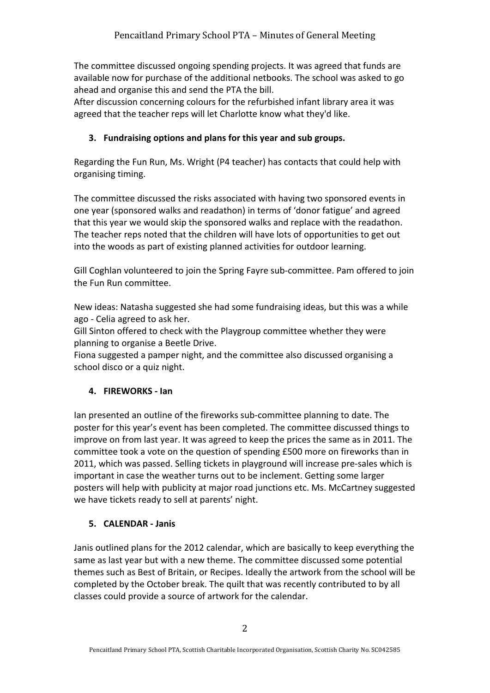The committee discussed ongoing spending projects. It was agreed that funds are available now for purchase of the additional netbooks. The school was asked to go ahead and organise this and send the PTA the bill.

After discussion concerning colours for the refurbished infant library area it was agreed that the teacher reps will let Charlotte know what they'd like.

# **3.** Fundraising options and plans for this year and sub groups.

Regarding the Fun Run, Ms. Wright (P4 teacher) has contacts that could help with organising timing.

The committee discussed the risks associated with having two sponsored events in one year (sponsored walks and readathon) in terms of 'donor fatigue' and agreed that this year we would skip the sponsored walks and replace with the readathon. The teacher reps noted that the children will have lots of opportunities to get out into the woods as part of existing planned activities for outdoor learning.

Gill Coghlan volunteered to join the Spring Fayre sub-committee. Pam offered to join the Fun Run committee.

New ideas: Natasha suggested she had some fundraising ideas, but this was a while ago - Celia agreed to ask her.

Gill Sinton offered to check with the Playgroup committee whether they were planning to organise a Beetle Drive.

Fiona suggested a pamper night, and the committee also discussed organising a school disco or a quiz night.

# **4. FIREWORKS** - lan

Ian presented an outline of the fireworks sub-committee planning to date. The poster for this year's event has been completed. The committee discussed things to improve on from last year. It was agreed to keep the prices the same as in 2011. The committee took a vote on the question of spending £500 more on fireworks than in 2011, which was passed. Selling tickets in playground will increase pre-sales which is important in case the weather turns out to be inclement. Getting some larger posters will help with publicity at major road junctions etc. Ms. McCartney suggested we have tickets ready to sell at parents' night.

# **5. CALENDAR - Janis**

Janis outlined plans for the 2012 calendar, which are basically to keep everything the same as last year but with a new theme. The committee discussed some potential themes such as Best of Britain, or Recipes. Ideally the artwork from the school will be completed by the October break. The quilt that was recently contributed to by all classes could provide a source of artwork for the calendar.